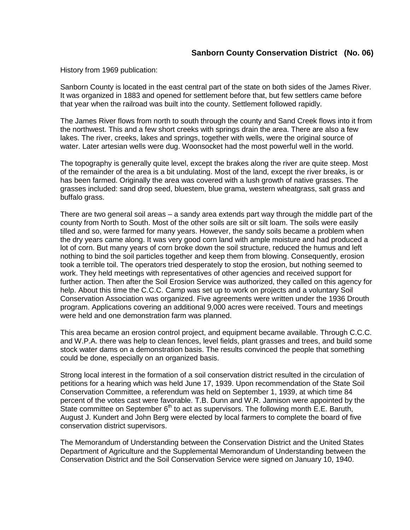History from 1969 publication:

Sanborn County is located in the east central part of the state on both sides of the James River. It was organized in 1883 and opened for settlement before that, but few settlers came before that year when the railroad was built into the county. Settlement followed rapidly.

The James River flows from north to south through the county and Sand Creek flows into it from the northwest. This and a few short creeks with springs drain the area. There are also a few lakes. The river, creeks, lakes and springs, together with wells, were the original source of water. Later artesian wells were dug. Woonsocket had the most powerful well in the world.

The topography is generally quite level, except the brakes along the river are quite steep. Most of the remainder of the area is a bit undulating. Most of the land, except the river breaks, is or has been farmed. Originally the area was covered with a lush growth of native grasses. The grasses included: sand drop seed, bluestem, blue grama, western wheatgrass, salt grass and buffalo grass.

There are two general soil areas – a sandy area extends part way through the middle part of the county from North to South. Most of the other soils are silt or silt loam. The soils were easily tilled and so, were farmed for many years. However, the sandy soils became a problem when the dry years came along. It was very good corn land with ample moisture and had produced a lot of corn. But many years of corn broke down the soil structure, reduced the humus and left nothing to bind the soil particles together and keep them from blowing. Consequently, erosion took a terrible toil. The operators tried desperately to stop the erosion, but nothing seemed to work. They held meetings with representatives of other agencies and received support for further action. Then after the Soil Erosion Service was authorized, they called on this agency for help. About this time the C.C.C. Camp was set up to work on projects and a voluntary Soil Conservation Association was organized. Five agreements were written under the 1936 Drouth program. Applications covering an additional 9,000 acres were received. Tours and meetings were held and one demonstration farm was planned.

This area became an erosion control project, and equipment became available. Through C.C.C. and W.P.A. there was help to clean fences, level fields, plant grasses and trees, and build some stock water dams on a demonstration basis. The results convinced the people that something could be done, especially on an organized basis.

Strong local interest in the formation of a soil conservation district resulted in the circulation of petitions for a hearing which was held June 17, 1939. Upon recommendation of the State Soil Conservation Committee, a referendum was held on September 1, 1939, at which time 84 percent of the votes cast were favorable. T.B. Dunn and W.R. Jamison were appointed by the State committee on September  $6<sup>th</sup>$  to act as supervisors. The following month E.E. Baruth, August J. Kundert and John Berg were elected by local farmers to complete the board of five conservation district supervisors.

The Memorandum of Understanding between the Conservation District and the United States Department of Agriculture and the Supplemental Memorandum of Understanding between the Conservation District and the Soil Conservation Service were signed on January 10, 1940.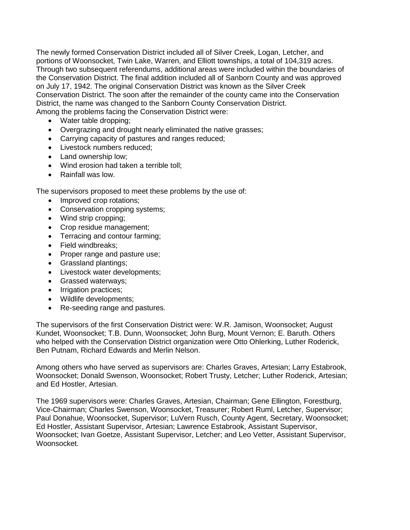The newly formed Conservation District included all of Silver Creek, Logan, Letcher, and portions of Woonsocket, Twin Lake, Warren, and Elliott townships, a total of 104,319 acres. Through two subsequent referendums, additional areas were included within the boundaries of the Conservation District. The final addition included all of Sanborn County and was approved on July 17, 1942. The original Conservation District was known as the Silver Creek Conservation District. The soon after the remainder of the county came into the Conservation District, the name was changed to the Sanborn County Conservation District. Among the problems facing the Conservation District were:

- Water table dropping;
- Overgrazing and drought nearly eliminated the native grasses;
- Carrying capacity of pastures and ranges reduced;
- Livestock numbers reduced;
- Land ownership low;
- Wind erosion had taken a terrible toll;
- Rainfall was low.

The supervisors proposed to meet these problems by the use of:

- Improved crop rotations;
- Conservation cropping systems;
- Wind strip cropping;
- Crop residue management;
- Terracing and contour farming;
- Field windbreaks;
- Proper range and pasture use;
- Grassland plantings;
- Livestock water developments;
- Grassed waterways;
- Irrigation practices;
- Wildlife developments;
- Re-seeding range and pastures.

The supervisors of the first Conservation District were: W.R. Jamison, Woonsocket; August Kundet, Woonsocket; T.B. Dunn, Woonsocket; John Burg, Mount Vernon; E. Baruth. Others who helped with the Conservation District organization were Otto Ohlerking, Luther Roderick, Ben Putnam, Richard Edwards and Merlin Nelson.

Among others who have served as supervisors are: Charles Graves, Artesian; Larry Estabrook, Woonsocket; Donald Swenson, Woonsocket; Robert Trusty, Letcher; Luther Roderick, Artesian; and Ed Hostler, Artesian.

The 1969 supervisors were: Charles Graves, Artesian, Chairman; Gene Ellington, Forestburg, Vice-Chairman; Charles Swenson, Woonsocket, Treasurer; Robert Ruml, Letcher, Supervisor; Paul Donahue, Woonsocket, Supervisor; LuVern Rusch, County Agent, Secretary, Woonsocket; Ed Hostler, Assistant Supervisor, Artesian; Lawrence Estabrook, Assistant Supervisor, Woonsocket; Ivan Goetze, Assistant Supervisor, Letcher; and Leo Vetter, Assistant Supervisor, Woonsocket.